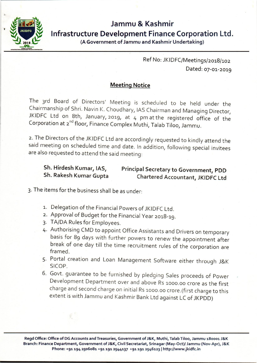

# **Jammu & Kashmir Infrastructure Development Finance Corporation Ltd.**

(A Government of Jammu and Kashmir Undertaking)

Ref No: JKIDFC/Meetings/2018/102 Dated: 07-01-2019

### Meeting Notice

The 3rd Board of Directors' Meeting is scheduled to be held under the Chairmanship of Shri. Navin K. Choudhary, lAS Chairman and Managing Director, JKIDFC Ltd on 8th, January, 2019, at 4 pm at the registered office of the Corporation at 2<sup>nd</sup> floor, Finance Complex Muthi, Talab Tiloo, Jammu.

2. The Directors of the JKIDFC Ltd are accordingly requested to kindly attend the said meeting on scheduled time and date. In addition, following special invitees are also requested to attend the said meeting:

#### Sh. Hirdesh Kumar, lAS, Sh. Rakesh Kumar Gupta Principal Secretary to Government, PDD Chartered Accountant, JKIDFC Ltd

3· The items for the business shall be as under:

- 1. Delegation of the Financial Powers of JKIDFC Ltd.
- 2. Approval of Budget for the Financial Year 2018-19.
- 3· TA/DA Rules for Employees.
- 4· Authorising CMD to appoint Office Assistants and Drivers on temporary basis for 89 days with further powers to renew the appointment after break of one day till the time recruitment rules of the corporation are framed.
- 5· Portal creation and Loan Management Software either through J&K SICOP.
- 6. Govt. guarantee to be furnished by pledging Sales proceeds of Power Development Department over and above Rs 1000.00 crore as the first charge and second charge on initial Rs 1000.00 crore.(first charge to this extent is with Jammu and Kashmir Bank Ltd against LC of JKPDD)

Regd Office: Office of DG Accounts and Treasuries, Government of J&K, Muthi, Talab Tiloo, Jammu 180001 J&K Branch: Finance Department, Government of J&K, Civil Secretariat, Srinagar *(May-Oct)/ Jammu (Nov-Apr), J&K* Phone: +91 194 2506081 +91 191 2544137 +91 191 2546123 | http://www.jkidfc.in